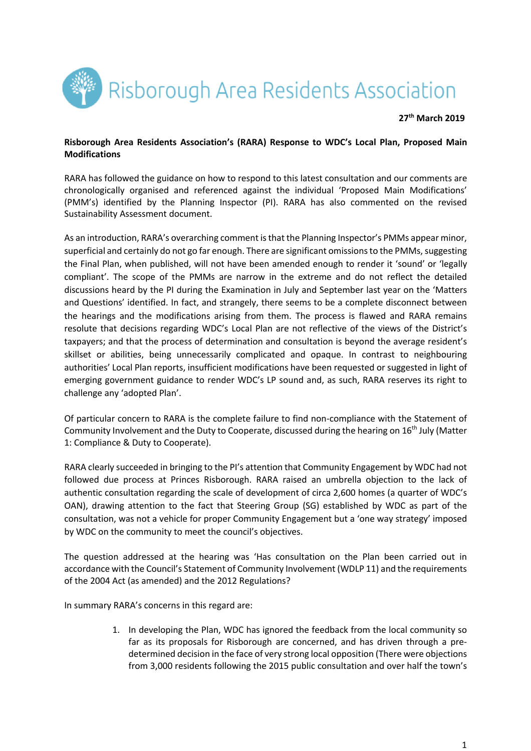

### **27th March 2019**

## **Risborough Area Residents Association's (RARA) Response to WDC's Local Plan, Proposed Main Modifications**

RARA has followed the guidance on how to respond to this latest consultation and our comments are chronologically organised and referenced against the individual 'Proposed Main Modifications' (PMM's) identified by the Planning Inspector (PI). RARA has also commented on the revised Sustainability Assessment document.

As an introduction, RARA's overarching comment is that the Planning Inspector's PMMs appear minor, superficial and certainly do not go far enough. There are significant omissions to the PMMs, suggesting the Final Plan, when published, will not have been amended enough to render it 'sound' or 'legally compliant'. The scope of the PMMs are narrow in the extreme and do not reflect the detailed discussions heard by the PI during the Examination in July and September last year on the 'Matters and Questions' identified. In fact, and strangely, there seems to be a complete disconnect between the hearings and the modifications arising from them. The process is flawed and RARA remains resolute that decisions regarding WDC's Local Plan are not reflective of the views of the District's taxpayers; and that the process of determination and consultation is beyond the average resident's skillset or abilities, being unnecessarily complicated and opaque. In contrast to neighbouring authorities' Local Plan reports, insufficient modifications have been requested or suggested in light of emerging government guidance to render WDC's LP sound and, as such, RARA reserves its right to challenge any 'adopted Plan'.

Of particular concern to RARA is the complete failure to find non-compliance with the Statement of Community Involvement and the Duty to Cooperate, discussed during the hearing on  $16<sup>th</sup>$  July (Matter 1: Compliance & Duty to Cooperate).

RARA clearly succeeded in bringing to the PI's attention that Community Engagement by WDC had not followed due process at Princes Risborough. RARA raised an umbrella objection to the lack of authentic consultation regarding the scale of development of circa 2,600 homes (a quarter of WDC's OAN), drawing attention to the fact that Steering Group (SG) established by WDC as part of the consultation, was not a vehicle for proper Community Engagement but a 'one way strategy' imposed by WDC on the community to meet the council's objectives.

The question addressed at the hearing was 'Has consultation on the Plan been carried out in accordance with the Council's Statement of Community Involvement (WDLP 11) and the requirements of the 2004 Act (as amended) and the 2012 Regulations?

In summary RARA's concerns in this regard are:

1. In developing the Plan, WDC has ignored the feedback from the local community so far as its proposals for Risborough are concerned, and has driven through a predetermined decision in the face of very strong local opposition (There were objections from 3,000 residents following the 2015 public consultation and over half the town's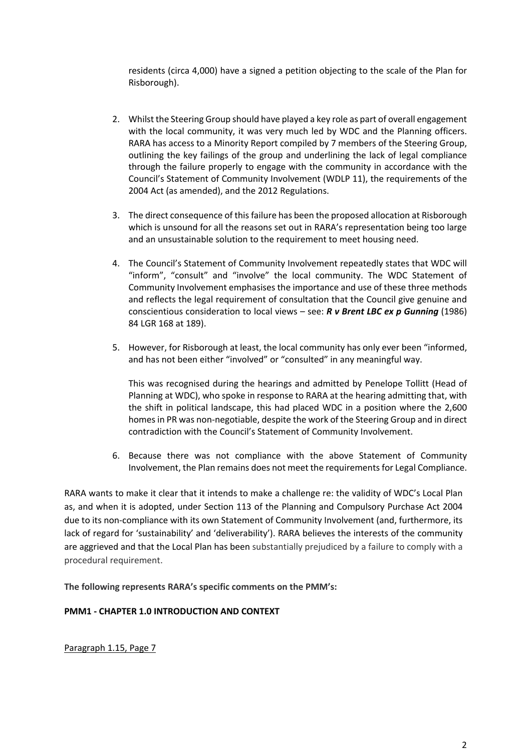residents (circa 4,000) have a signed a petition objecting to the scale of the Plan for Risborough).

- 2. Whilst the Steering Group should have played a key role as part of overall engagement with the local community, it was very much led by WDC and the Planning officers. RARA has access to a Minority Report compiled by 7 members of the Steering Group, outlining the key failings of the group and underlining the lack of legal compliance through the failure properly to engage with the community in accordance with the Council's Statement of Community Involvement (WDLP 11), the requirements of the 2004 Act (as amended), and the 2012 Regulations.
- 3. The direct consequence of this failure has been the proposed allocation at Risborough which is unsound for all the reasons set out in RARA's representation being too large and an unsustainable solution to the requirement to meet housing need.
- 4. The Council's Statement of Community Involvement repeatedly states that WDC will "inform", "consult" and "involve" the local community. The WDC Statement of Community Involvement emphasises the importance and use of these three methods and reflects the legal requirement of consultation that the Council give genuine and conscientious consideration to local views – see: *R v Brent LBC ex p Gunning* (1986) 84 LGR 168 at 189).
- 5. However, for Risborough at least, the local community has only ever been "informed, and has not been either "involved" or "consulted" in any meaningful way.

This was recognised during the hearings and admitted by Penelope Tollitt (Head of Planning at WDC), who spoke in response to RARA at the hearing admitting that, with the shift in political landscape, this had placed WDC in a position where the 2,600 homes in PR was non-negotiable, despite the work of the Steering Group and in direct contradiction with the Council's Statement of Community Involvement.

6. Because there was not compliance with the above Statement of Community Involvement, the Plan remains does not meet the requirements for Legal Compliance.

RARA wants to make it clear that it intends to make a challenge re: the validity of WDC's Local Plan as, and when it is adopted, under Section 113 of the Planning and Compulsory Purchase Act 2004 due to its non-compliance with its own Statement of Community Involvement (and, furthermore, its lack of regard for 'sustainability' and 'deliverability'). RARA believes the interests of the community are aggrieved and that the Local Plan has been substantially prejudiced by a failure to comply with a procedural requirement.

**The following represents RARA's specific comments on the PMM's:**

# **PMM1 - CHAPTER 1.0 INTRODUCTION AND CONTEXT**

Paragraph 1.15, Page 7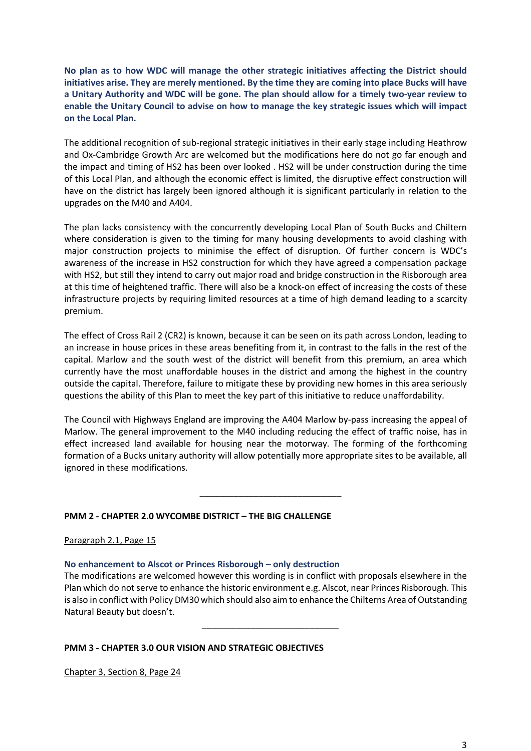**No plan as to how WDC will manage the other strategic initiatives affecting the District should initiatives arise. They are merely mentioned. By the time they are coming into place Bucks will have a Unitary Authority and WDC will be gone. The plan should allow for a timely two-year review to enable the Unitary Council to advise on how to manage the key strategic issues which will impact on the Local Plan.** 

The additional recognition of sub-regional strategic initiatives in their early stage including Heathrow and Ox-Cambridge Growth Arc are welcomed but the modifications here do not go far enough and the impact and timing of HS2 has been over looked . HS2 will be under construction during the time of this Local Plan, and although the economic effect is limited, the disruptive effect construction will have on the district has largely been ignored although it is significant particularly in relation to the upgrades on the M40 and A404.

The plan lacks consistency with the concurrently developing Local Plan of South Bucks and Chiltern where consideration is given to the timing for many housing developments to avoid clashing with major construction projects to minimise the effect of disruption. Of further concern is WDC's awareness of the increase in HS2 construction for which they have agreed a compensation package with HS2, but still they intend to carry out major road and bridge construction in the Risborough area at this time of heightened traffic. There will also be a knock-on effect of increasing the costs of these infrastructure projects by requiring limited resources at a time of high demand leading to a scarcity premium.

The effect of Cross Rail 2 (CR2) is known, because it can be seen on its path across London, leading to an increase in house prices in these areas benefiting from it, in contrast to the falls in the rest of the capital. Marlow and the south west of the district will benefit from this premium, an area which currently have the most unaffordable houses in the district and among the highest in the country outside the capital. Therefore, failure to mitigate these by providing new homes in this area seriously questions the ability of this Plan to meet the key part of this initiative to reduce unaffordability.

The Council with Highways England are improving the A404 Marlow by-pass increasing the appeal of Marlow. The general improvement to the M40 including reducing the effect of traffic noise, has in effect increased land available for housing near the motorway. The forming of the forthcoming formation of a Bucks unitary authority will allow potentially more appropriate sites to be available, all ignored in these modifications.

# **PMM 2 - CHAPTER 2.0 WYCOMBE DISTRICT – THE BIG CHALLENGE**

 $\overline{\phantom{a}}$  ,  $\overline{\phantom{a}}$  ,  $\overline{\phantom{a}}$  ,  $\overline{\phantom{a}}$  ,  $\overline{\phantom{a}}$  ,  $\overline{\phantom{a}}$  ,  $\overline{\phantom{a}}$  ,  $\overline{\phantom{a}}$  ,  $\overline{\phantom{a}}$  ,  $\overline{\phantom{a}}$  ,  $\overline{\phantom{a}}$  ,  $\overline{\phantom{a}}$  ,  $\overline{\phantom{a}}$  ,  $\overline{\phantom{a}}$  ,  $\overline{\phantom{a}}$  ,  $\overline{\phantom{a}}$ 

Paragraph 2.1, Page 15

## **No enhancement to Alscot or Princes Risborough – only destruction**

The modifications are welcomed however this wording is in conflict with proposals elsewhere in the Plan which do not serve to enhance the historic environment e.g. Alscot, near Princes Risborough. This is also in conflict with Policy DM30 which should also aim to enhance the Chilterns Area of Outstanding Natural Beauty but doesn't.

# **PMM 3 - CHAPTER 3.0 OUR VISION AND STRATEGIC OBJECTIVES**

\_\_\_\_\_\_\_\_\_\_\_\_\_\_\_\_\_\_\_\_\_\_\_\_\_\_\_\_

Chapter 3, Section 8, Page 24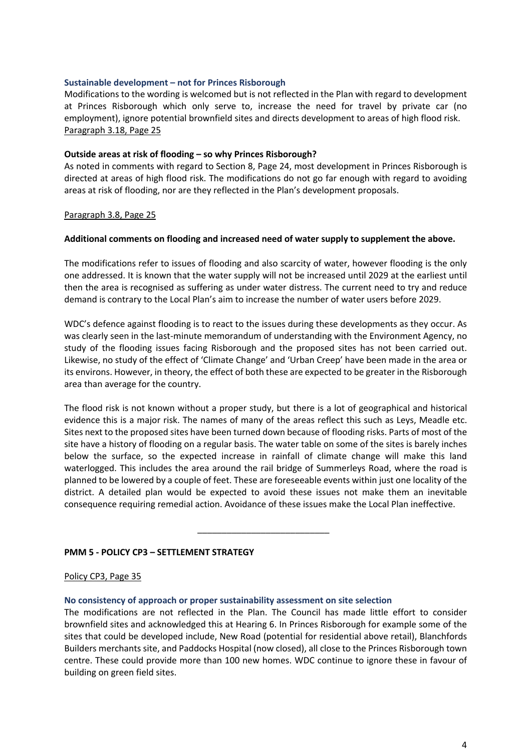## **Sustainable development – not for Princes Risborough**

Modifications to the wording is welcomed but is not reflected in the Plan with regard to development at Princes Risborough which only serve to, increase the need for travel by private car (no employment), ignore potential brownfield sites and directs development to areas of high flood risk. Paragraph 3.18, Page 25

#### **Outside areas at risk of flooding – so why Princes Risborough?**

As noted in comments with regard to Section 8, Page 24, most development in Princes Risborough is directed at areas of high flood risk. The modifications do not go far enough with regard to avoiding areas at risk of flooding, nor are they reflected in the Plan's development proposals.

#### Paragraph 3.8, Page 25

#### **Additional comments on flooding and increased need of water supply to supplement the above.**

The modifications refer to issues of flooding and also scarcity of water, however flooding is the only one addressed. It is known that the water supply will not be increased until 2029 at the earliest until then the area is recognised as suffering as under water distress. The current need to try and reduce demand is contrary to the Local Plan's aim to increase the number of water users before 2029.

WDC's defence against flooding is to react to the issues during these developments as they occur. As was clearly seen in the last-minute memorandum of understanding with the Environment Agency, no study of the flooding issues facing Risborough and the proposed sites has not been carried out. Likewise, no study of the effect of 'Climate Change' and 'Urban Creep' have been made in the area or its environs. However, in theory, the effect of both these are expected to be greater in the Risborough area than average for the country.

The flood risk is not known without a proper study, but there is a lot of geographical and historical evidence this is a major risk. The names of many of the areas reflect this such as Leys, Meadle etc. Sites next to the proposed sites have been turned down because of flooding risks. Parts of most of the site have a history of flooding on a regular basis. The water table on some of the sites is barely inches below the surface, so the expected increase in rainfall of climate change will make this land waterlogged. This includes the area around the rail bridge of Summerleys Road, where the road is planned to be lowered by a couple of feet. These are foreseeable events within just one locality of the district. A detailed plan would be expected to avoid these issues not make them an inevitable consequence requiring remedial action. Avoidance of these issues make the Local Plan ineffective.

## **PMM 5 - POLICY CP3 – SETTLEMENT STRATEGY**

 $\overline{\phantom{a}}$  , and the contract of the contract of the contract of the contract of the contract of the contract of the contract of the contract of the contract of the contract of the contract of the contract of the contrac

#### Policy CP3, Page 35

#### **No consistency of approach or proper sustainability assessment on site selection**

The modifications are not reflected in the Plan. The Council has made little effort to consider brownfield sites and acknowledged this at Hearing 6. In Princes Risborough for example some of the sites that could be developed include, New Road (potential for residential above retail), Blanchfords Builders merchants site, and Paddocks Hospital (now closed), all close to the Princes Risborough town centre. These could provide more than 100 new homes. WDC continue to ignore these in favour of building on green field sites.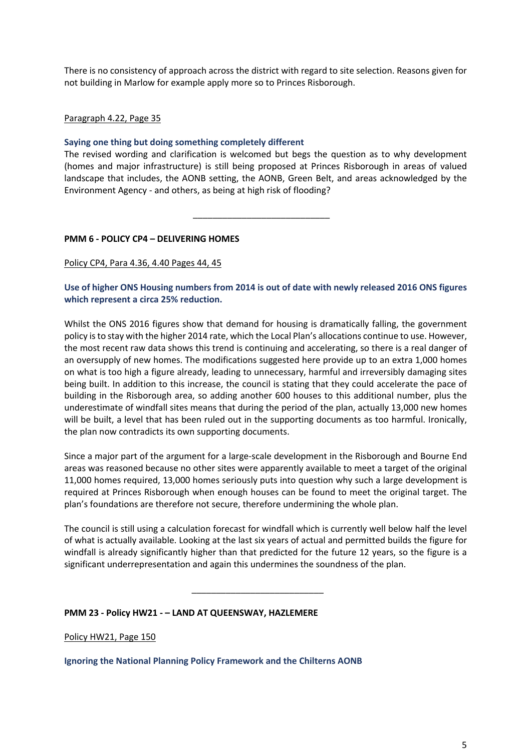There is no consistency of approach across the district with regard to site selection. Reasons given for not building in Marlow for example apply more so to Princes Risborough.

## Paragraph 4.22, Page 35

## **Saying one thing but doing something completely different**

 $\frac{1}{2}$  , and the set of the set of the set of the set of the set of the set of the set of the set of the set of the set of the set of the set of the set of the set of the set of the set of the set of the set of the set

The revised wording and clarification is welcomed but begs the question as to why development (homes and major infrastructure) is still being proposed at Princes Risborough in areas of valued landscape that includes, the AONB setting, the AONB, Green Belt, and areas acknowledged by the Environment Agency - and others, as being at high risk of flooding?

## **PMM 6 - POLICY CP4 – DELIVERING HOMES**

#### Policy CP4, Para 4.36, 4.40 Pages 44, 45

## **Use of higher ONS Housing numbers from 2014 is out of date with newly released 2016 ONS figures which represent a circa 25% reduction.**

Whilst the ONS 2016 figures show that demand for housing is dramatically falling, the government policy is to stay with the higher 2014 rate, which the Local Plan's allocations continue to use. However, the most recent raw data shows this trend is continuing and accelerating, so there is a real danger of an oversupply of new homes. The modifications suggested here provide up to an extra 1,000 homes on what is too high a figure already, leading to unnecessary, harmful and irreversibly damaging sites being built. In addition to this increase, the council is stating that they could accelerate the pace of building in the Risborough area, so adding another 600 houses to this additional number, plus the underestimate of windfall sites means that during the period of the plan, actually 13,000 new homes will be built, a level that has been ruled out in the supporting documents as too harmful. Ironically, the plan now contradicts its own supporting documents.

Since a major part of the argument for a large-scale development in the Risborough and Bourne End areas was reasoned because no other sites were apparently available to meet a target of the original 11,000 homes required, 13,000 homes seriously puts into question why such a large development is required at Princes Risborough when enough houses can be found to meet the original target. The plan's foundations are therefore not secure, therefore undermining the whole plan.

The council is still using a calculation forecast for windfall which is currently well below half the level of what is actually available. Looking at the last six years of actual and permitted builds the figure for windfall is already significantly higher than that predicted for the future 12 years, so the figure is a significant underrepresentation and again this undermines the soundness of the plan.

\_\_\_\_\_\_\_\_\_\_\_\_\_\_\_\_\_\_\_\_\_\_\_\_\_\_\_

## **PMM 23 - Policy HW21 - – LAND AT QUEENSWAY, HAZLEMERE**

Policy HW21, Page 150

**Ignoring the National Planning Policy Framework and the Chilterns AONB**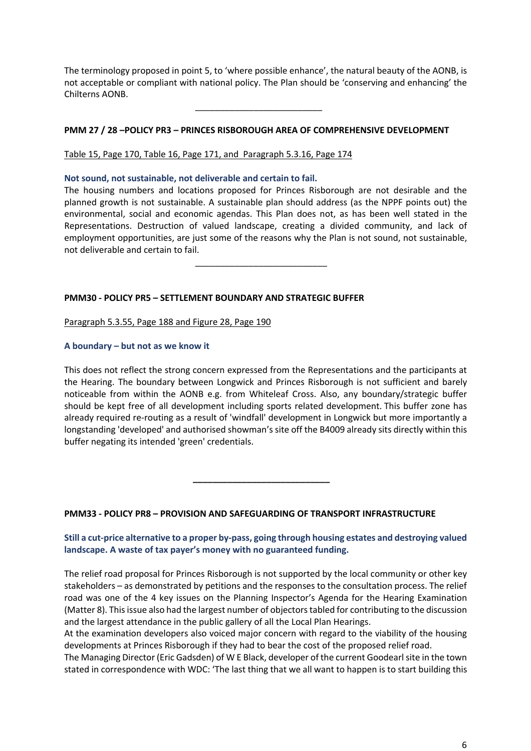The terminology proposed in point 5, to 'where possible enhance', the natural beauty of the AONB, is not acceptable or compliant with national policy. The Plan should be 'conserving and enhancing' the Chilterns AONB.

## **PMM 27 / 28 –POLICY PR3 – PRINCES RISBOROUGH AREA OF COMPREHENSIVE DEVELOPMENT**

Table 15, Page 170, Table 16, Page 171, and Paragraph 5.3.16, Page 174

**Not sound, not sustainable, not deliverable and certain to fail.**

 $\frac{1}{2}$  ,  $\frac{1}{2}$  ,  $\frac{1}{2}$  ,  $\frac{1}{2}$  ,  $\frac{1}{2}$  ,  $\frac{1}{2}$  ,  $\frac{1}{2}$  ,  $\frac{1}{2}$  ,  $\frac{1}{2}$  ,  $\frac{1}{2}$  ,  $\frac{1}{2}$  ,  $\frac{1}{2}$  ,  $\frac{1}{2}$  ,  $\frac{1}{2}$  ,  $\frac{1}{2}$  ,  $\frac{1}{2}$  ,  $\frac{1}{2}$  ,  $\frac{1}{2}$  ,  $\frac{1$ 

 **\_\_\_\_\_\_\_\_\_\_\_\_\_\_\_\_\_\_\_\_\_\_\_\_\_\_\_\_**

 $\overline{\phantom{a}}$  ,  $\overline{\phantom{a}}$  ,  $\overline{\phantom{a}}$  ,  $\overline{\phantom{a}}$  ,  $\overline{\phantom{a}}$  ,  $\overline{\phantom{a}}$  ,  $\overline{\phantom{a}}$  ,  $\overline{\phantom{a}}$  ,  $\overline{\phantom{a}}$  ,  $\overline{\phantom{a}}$  ,  $\overline{\phantom{a}}$  ,  $\overline{\phantom{a}}$  ,  $\overline{\phantom{a}}$  ,  $\overline{\phantom{a}}$  ,  $\overline{\phantom{a}}$  ,  $\overline{\phantom{a}}$ 

The housing numbers and locations proposed for Princes Risborough are not desirable and the planned growth is not sustainable. A sustainable plan should address (as the NPPF points out) the environmental, social and economic agendas. This Plan does not, as has been well stated in the Representations. Destruction of valued landscape, creating a divided community, and lack of employment opportunities, are just some of the reasons why the Plan is not sound, not sustainable, not deliverable and certain to fail.

## **PMM30 - POLICY PR5 – SETTLEMENT BOUNDARY AND STRATEGIC BUFFER**

Paragraph 5.3.55, Page 188 and Figure 28, Page 190

#### **A boundary – but not as we know it**

This does not reflect the strong concern expressed from the Representations and the participants at the Hearing. The boundary between Longwick and Princes Risborough is not sufficient and barely noticeable from within the AONB e.g. from Whiteleaf Cross. Also, any boundary/strategic buffer should be kept free of all development including sports related development. This buffer zone has already required re-routing as a result of 'windfall' development in Longwick but more importantly a longstanding 'developed' and authorised showman's site off the B4009 already sits directly within this buffer negating its intended 'green' credentials.

## **PMM33 - POLICY PR8 – PROVISION AND SAFEGUARDING OF TRANSPORT INFRASTRUCTURE**

## **Still a cut-price alternative to a proper by-pass, going through housing estates and destroying valued landscape. A waste of tax payer's money with no guaranteed funding.**

The relief road proposal for Princes Risborough is not supported by the local community or other key stakeholders – as demonstrated by petitions and the responses to the consultation process. The relief road was one of the 4 key issues on the Planning Inspector's Agenda for the Hearing Examination (Matter 8). This issue also had the largest number of objectors tabled for contributing to the discussion and the largest attendance in the public gallery of all the Local Plan Hearings.

At the examination developers also voiced major concern with regard to the viability of the housing developments at Princes Risborough if they had to bear the cost of the proposed relief road.

The Managing Director (Eric Gadsden) of W E Black, developer of the current Goodearl site in the town stated in correspondence with WDC: 'The last thing that we all want to happen is to start building this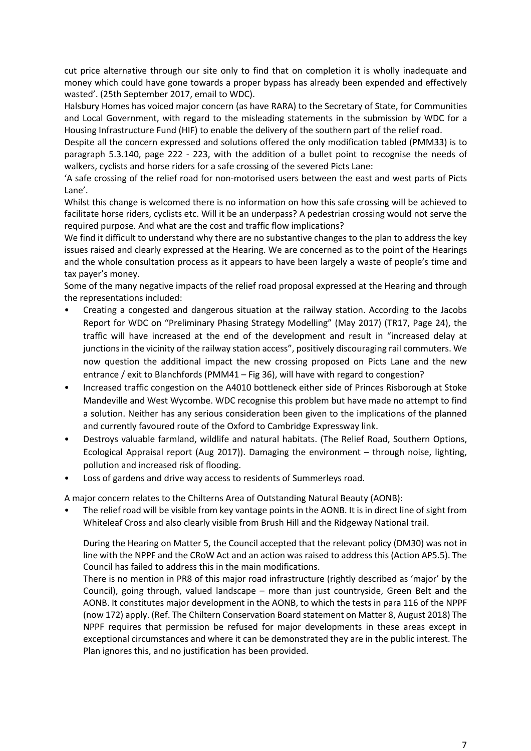cut price alternative through our site only to find that on completion it is wholly inadequate and money which could have gone towards a proper bypass has already been expended and effectively wasted'. (25th September 2017, email to WDC).

Halsbury Homes has voiced major concern (as have RARA) to the Secretary of State, for Communities and Local Government, with regard to the misleading statements in the submission by WDC for a Housing Infrastructure Fund (HIF) to enable the delivery of the southern part of the relief road.

Despite all the concern expressed and solutions offered the only modification tabled (PMM33) is to paragraph 5.3.140, page 222 - 223, with the addition of a bullet point to recognise the needs of walkers, cyclists and horse riders for a safe crossing of the severed Picts Lane:

'A safe crossing of the relief road for non-motorised users between the east and west parts of Picts Lane'.

Whilst this change is welcomed there is no information on how this safe crossing will be achieved to facilitate horse riders, cyclists etc. Will it be an underpass? A pedestrian crossing would not serve the required purpose. And what are the cost and traffic flow implications?

We find it difficult to understand why there are no substantive changes to the plan to address the key issues raised and clearly expressed at the Hearing. We are concerned as to the point of the Hearings and the whole consultation process as it appears to have been largely a waste of people's time and tax payer's money.

Some of the many negative impacts of the relief road proposal expressed at the Hearing and through the representations included:

- Creating a congested and dangerous situation at the railway station. According to the Jacobs Report for WDC on "Preliminary Phasing Strategy Modelling" (May 2017) (TR17, Page 24), the traffic will have increased at the end of the development and result in "increased delay at junctions in the vicinity of the railway station access", positively discouraging rail commuters. We now question the additional impact the new crossing proposed on Picts Lane and the new entrance / exit to Blanchfords (PMM41 – Fig 36), will have with regard to congestion?
- Increased traffic congestion on the A4010 bottleneck either side of Princes Risborough at Stoke Mandeville and West Wycombe. WDC recognise this problem but have made no attempt to find a solution. Neither has any serious consideration been given to the implications of the planned and currently favoured route of the Oxford to Cambridge Expressway link.
- Destroys valuable farmland, wildlife and natural habitats. (The Relief Road, Southern Options, Ecological Appraisal report (Aug 2017)). Damaging the environment – through noise, lighting, pollution and increased risk of flooding.
- Loss of gardens and drive way access to residents of Summerleys road.

A major concern relates to the Chilterns Area of Outstanding Natural Beauty (AONB):

• The relief road will be visible from key vantage points in the AONB. It is in direct line of sight from Whiteleaf Cross and also clearly visible from Brush Hill and the Ridgeway National trail.

During the Hearing on Matter 5, the Council accepted that the relevant policy (DM30) was not in line with the NPPF and the CRoW Act and an action was raised to address this (Action AP5.5). The Council has failed to address this in the main modifications.

There is no mention in PR8 of this major road infrastructure (rightly described as 'major' by the Council), going through, valued landscape – more than just countryside, Green Belt and the AONB. It constitutes major development in the AONB, to which the tests in para 116 of the NPPF (now 172) apply. (Ref. The Chiltern Conservation Board statement on Matter 8, August 2018) The NPPF requires that permission be refused for major developments in these areas except in exceptional circumstances and where it can be demonstrated they are in the public interest. The Plan ignores this, and no justification has been provided.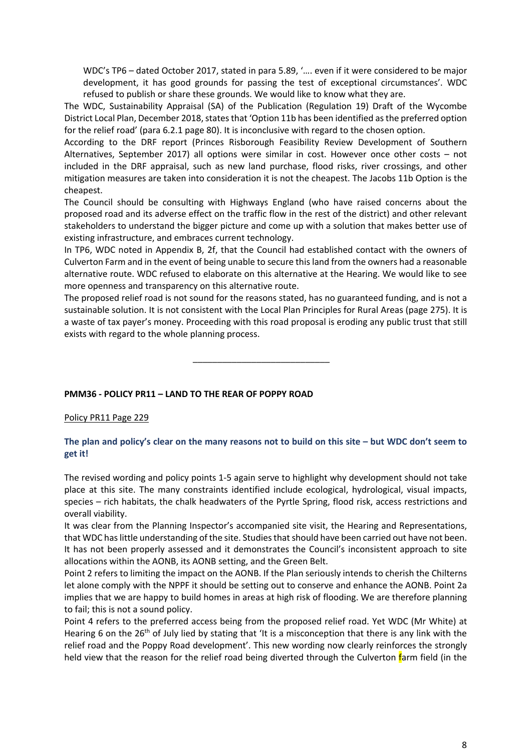WDC's TP6 – dated October 2017, stated in para 5.89, '…. even if it were considered to be major development, it has good grounds for passing the test of exceptional circumstances'. WDC refused to publish or share these grounds. We would like to know what they are.

The WDC, Sustainability Appraisal (SA) of the Publication (Regulation 19) Draft of the Wycombe District Local Plan, December 2018, states that 'Option 11b has been identified as the preferred option for the relief road' (para 6.2.1 page 80). It is inconclusive with regard to the chosen option.

According to the DRF report (Princes Risborough Feasibility Review Development of Southern Alternatives, September 2017) all options were similar in cost. However once other costs – not included in the DRF appraisal, such as new land purchase, flood risks, river crossings, and other mitigation measures are taken into consideration it is not the cheapest. The Jacobs 11b Option is the cheapest.

The Council should be consulting with Highways England (who have raised concerns about the proposed road and its adverse effect on the traffic flow in the rest of the district) and other relevant stakeholders to understand the bigger picture and come up with a solution that makes better use of existing infrastructure, and embraces current technology.

In TP6, WDC noted in Appendix B, 2f, that the Council had established contact with the owners of Culverton Farm and in the event of being unable to secure this land from the owners had a reasonable alternative route. WDC refused to elaborate on this alternative at the Hearing. We would like to see more openness and transparency on this alternative route.

The proposed relief road is not sound for the reasons stated, has no guaranteed funding, and is not a sustainable solution. It is not consistent with the Local Plan Principles for Rural Areas (page 275). It is a waste of tax payer's money. Proceeding with this road proposal is eroding any public trust that still exists with regard to the whole planning process.

\_\_\_\_\_\_\_\_\_\_\_\_\_\_\_\_\_\_\_\_\_\_\_\_\_\_\_\_

## **PMM36 - POLICY PR11 – LAND TO THE REAR OF POPPY ROAD**

#### Policy PR11 Page 229

## **The plan and policy's clear on the many reasons not to build on this site – but WDC don't seem to get it!**

The revised wording and policy points 1-5 again serve to highlight why development should not take place at this site. The many constraints identified include ecological, hydrological, visual impacts, species – rich habitats, the chalk headwaters of the Pyrtle Spring, flood risk, access restrictions and overall viability.

It was clear from the Planning Inspector's accompanied site visit, the Hearing and Representations, that WDC has little understanding of the site. Studies that should have been carried out have not been. It has not been properly assessed and it demonstrates the Council's inconsistent approach to site allocations within the AONB, its AONB setting, and the Green Belt.

Point 2 refers to limiting the impact on the AONB. If the Plan seriously intends to cherish the Chilterns let alone comply with the NPPF it should be setting out to conserve and enhance the AONB. Point 2a implies that we are happy to build homes in areas at high risk of flooding. We are therefore planning to fail; this is not a sound policy.

Point 4 refers to the preferred access being from the proposed relief road. Yet WDC (Mr White) at Hearing 6 on the 26<sup>th</sup> of July lied by stating that 'It is a misconception that there is any link with the relief road and the Poppy Road development'. This new wording now clearly reinforces the strongly held view that the reason for the relief road being diverted through the Culverton farm field (in the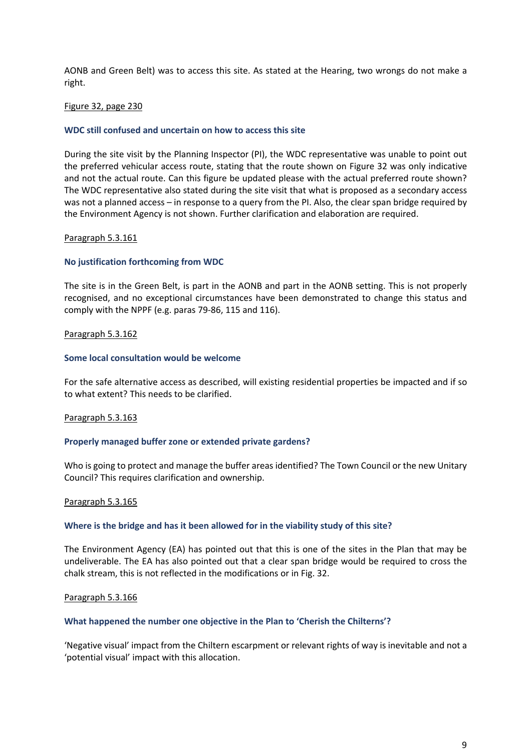AONB and Green Belt) was to access this site. As stated at the Hearing, two wrongs do not make a right.

#### Figure 32, page 230

#### **WDC still confused and uncertain on how to access this site**

During the site visit by the Planning Inspector (PI), the WDC representative was unable to point out the preferred vehicular access route, stating that the route shown on Figure 32 was only indicative and not the actual route. Can this figure be updated please with the actual preferred route shown? The WDC representative also stated during the site visit that what is proposed as a secondary access was not a planned access – in response to a query from the PI. Also, the clear span bridge required by the Environment Agency is not shown. Further clarification and elaboration are required.

#### Paragraph 5.3.161

#### **No justification forthcoming from WDC**

The site is in the Green Belt, is part in the AONB and part in the AONB setting. This is not properly recognised, and no exceptional circumstances have been demonstrated to change this status and comply with the NPPF (e.g. paras 79-86, 115 and 116).

#### Paragraph 5.3.162

#### **Some local consultation would be welcome**

For the safe alternative access as described, will existing residential properties be impacted and if so to what extent? This needs to be clarified.

#### Paragraph 5.3.163

#### **Properly managed buffer zone or extended private gardens?**

Who is going to protect and manage the buffer areas identified? The Town Council or the new Unitary Council? This requires clarification and ownership.

#### Paragraph 5.3.165

#### **Where is the bridge and has it been allowed for in the viability study of this site?**

The Environment Agency (EA) has pointed out that this is one of the sites in the Plan that may be undeliverable. The EA has also pointed out that a clear span bridge would be required to cross the chalk stream, this is not reflected in the modifications or in Fig. 32.

#### Paragraph 5.3.166

#### **What happened the number one objective in the Plan to 'Cherish the Chilterns'?**

'Negative visual' impact from the Chiltern escarpment or relevant rights of way is inevitable and not a 'potential visual' impact with this allocation.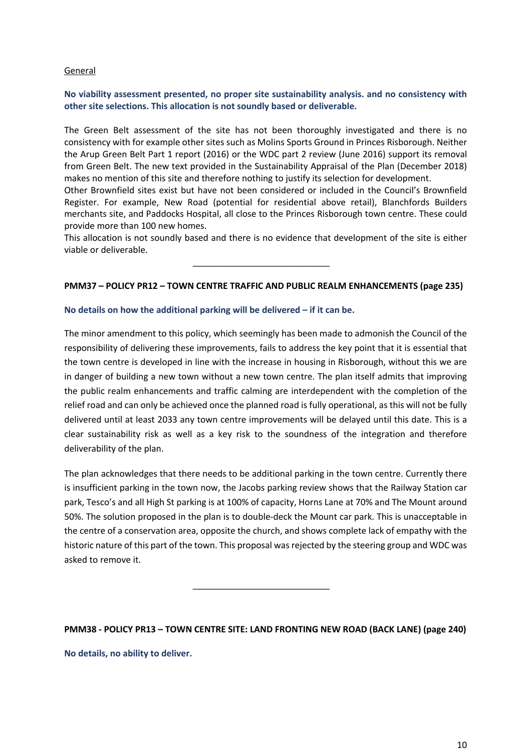## General

## **No viability assessment presented, no proper site sustainability analysis. and no consistency with other site selections. This allocation is not soundly based or deliverable.**

The Green Belt assessment of the site has not been thoroughly investigated and there is no consistency with for example other sites such as Molins Sports Ground in Princes Risborough. Neither the Arup Green Belt Part 1 report (2016) or the WDC part 2 review (June 2016) support its removal from Green Belt. The new text provided in the Sustainability Appraisal of the Plan (December 2018) makes no mention of this site and therefore nothing to justify its selection for development.

Other Brownfield sites exist but have not been considered or included in the Council's Brownfield Register. For example, New Road (potential for residential above retail), Blanchfords Builders merchants site, and Paddocks Hospital, all close to the Princes Risborough town centre. These could provide more than 100 new homes.

This allocation is not soundly based and there is no evidence that development of the site is either viable or deliverable.

\_\_\_\_\_\_\_\_\_\_\_\_\_\_\_\_\_\_\_\_\_\_\_\_\_\_\_\_

# **PMM37 – POLICY PR12 – TOWN CENTRE TRAFFIC AND PUBLIC REALM ENHANCEMENTS (page 235)**

#### **No details on how the additional parking will be delivered – if it can be.**

The minor amendment to this policy, which seemingly has been made to admonish the Council of the responsibility of delivering these improvements, fails to address the key point that it is essential that the town centre is developed in line with the increase in housing in Risborough, without this we are in danger of building a new town without a new town centre. The plan itself admits that improving the public realm enhancements and traffic calming are interdependent with the completion of the relief road and can only be achieved once the planned road is fully operational, as this will not be fully delivered until at least 2033 any town centre improvements will be delayed until this date. This is a clear sustainability risk as well as a key risk to the soundness of the integration and therefore deliverability of the plan.

The plan acknowledges that there needs to be additional parking in the town centre. Currently there is insufficient parking in the town now, the Jacobs parking review shows that the Railway Station car park, Tesco's and all High St parking is at 100% of capacity, Horns Lane at 70% and The Mount around 50%. The solution proposed in the plan is to double-deck the Mount car park. This is unacceptable in the centre of a conservation area, opposite the church, and shows complete lack of empathy with the historic nature of this part of the town. This proposal was rejected by the steering group and WDC was asked to remove it.

## **PMM38 - POLICY PR13 – TOWN CENTRE SITE: LAND FRONTING NEW ROAD (BACK LANE) (page 240)**

\_\_\_\_\_\_\_\_\_\_\_\_\_\_\_\_\_\_\_\_\_\_\_\_\_\_\_\_

**No details, no ability to deliver.**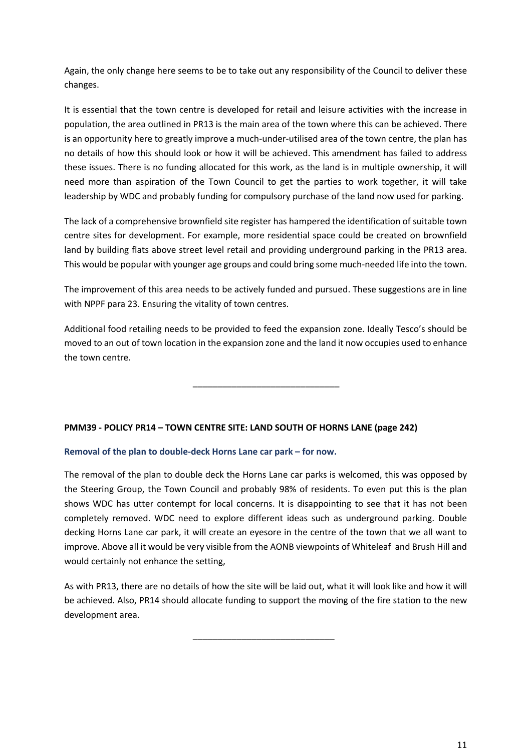Again, the only change here seems to be to take out any responsibility of the Council to deliver these changes.

It is essential that the town centre is developed for retail and leisure activities with the increase in population, the area outlined in PR13 is the main area of the town where this can be achieved. There is an opportunity here to greatly improve a much-under-utilised area of the town centre, the plan has no details of how this should look or how it will be achieved. This amendment has failed to address these issues. There is no funding allocated for this work, as the land is in multiple ownership, it will need more than aspiration of the Town Council to get the parties to work together, it will take leadership by WDC and probably funding for compulsory purchase of the land now used for parking.

The lack of a comprehensive brownfield site register has hampered the identification of suitable town centre sites for development. For example, more residential space could be created on brownfield land by building flats above street level retail and providing underground parking in the PR13 area. This would be popular with younger age groups and could bring some much-needed life into the town.

The improvement of this area needs to be actively funded and pursued. These suggestions are in line with NPPF para 23. Ensuring the vitality of town centres.

Additional food retailing needs to be provided to feed the expansion zone. Ideally Tesco's should be moved to an out of town location in the expansion zone and the land it now occupies used to enhance the town centre.

\_\_\_\_\_\_\_\_\_\_\_\_\_\_\_\_\_\_\_\_\_\_\_\_\_\_\_\_\_\_

# **PMM39 - POLICY PR14 – TOWN CENTRE SITE: LAND SOUTH OF HORNS LANE (page 242)**

# **Removal of the plan to double-deck Horns Lane car park – for now.**

The removal of the plan to double deck the Horns Lane car parks is welcomed, this was opposed by the Steering Group, the Town Council and probably 98% of residents. To even put this is the plan shows WDC has utter contempt for local concerns. It is disappointing to see that it has not been completely removed. WDC need to explore different ideas such as underground parking. Double decking Horns Lane car park, it will create an eyesore in the centre of the town that we all want to improve. Above all it would be very visible from the AONB viewpoints of Whiteleaf and Brush Hill and would certainly not enhance the setting,

As with PR13, there are no details of how the site will be laid out, what it will look like and how it will be achieved. Also, PR14 should allocate funding to support the moving of the fire station to the new development area.

\_\_\_\_\_\_\_\_\_\_\_\_\_\_\_\_\_\_\_\_\_\_\_\_\_\_\_\_\_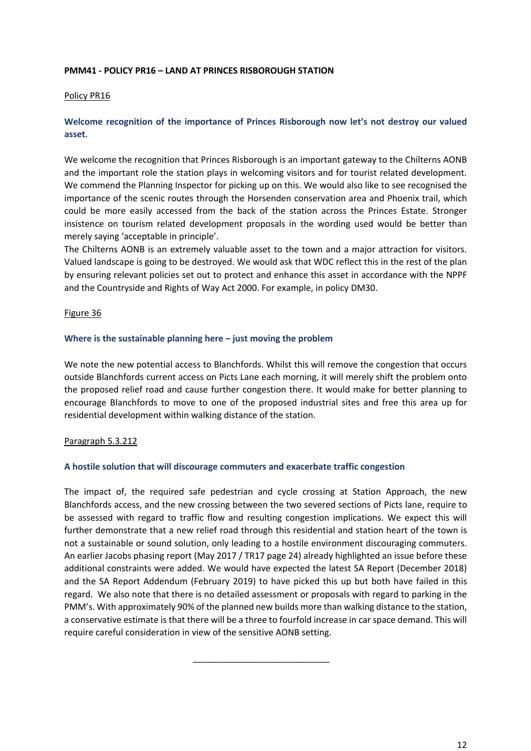## **PMM41 - POLICY PR16 – LAND AT PRINCES RISBOROUGH STATION**

### Policy PR16

# **Welcome recognition of the importance of Princes Risborough now let's not destroy our valued asset**.

We welcome the recognition that Princes Risborough is an important gateway to the Chilterns AONB and the important role the station plays in welcoming visitors and for tourist related development. We commend the Planning Inspector for picking up on this. We would also like to see recognised the importance of the scenic routes through the Horsenden conservation area and Phoenix trail, which could be more easily accessed from the back of the station across the Princes Estate. Stronger insistence on tourism related development proposals in the wording used would be better than merely saying 'acceptable in principle'.

The Chilterns AONB is an extremely valuable asset to the town and a major attraction for visitors. Valued landscape is going to be destroyed. We would ask that WDC reflect this in the rest of the plan by ensuring relevant policies set out to protect and enhance this asset in accordance with the NPPF and the Countryside and Rights of Way Act 2000. For example, in policy DM30.

#### Figure 36

#### **Where is the sustainable planning here – just moving the problem**

We note the new potential access to Blanchfords. Whilst this will remove the congestion that occurs outside Blanchfords current access on Picts Lane each morning, it will merely shift the problem onto the proposed relief road and cause further congestion there. It would make for better planning to encourage Blanchfords to move to one of the proposed industrial sites and free this area up for residential development within walking distance of the station.

## Paragraph 5.3.212

## **A hostile solution that will discourage commuters and exacerbate traffic congestion**

The impact of, the required safe pedestrian and cycle crossing at Station Approach, the new Blanchfords access, and the new crossing between the two severed sections of Picts lane, require to be assessed with regard to traffic flow and resulting congestion implications. We expect this will further demonstrate that a new relief road through this residential and station heart of the town is not a sustainable or sound solution, only leading to a hostile environment discouraging commuters. An earlier Jacobs phasing report (May 2017 / TR17 page 24) already highlighted an issue before these additional constraints were added. We would have expected the latest SA Report (December 2018) and the SA Report Addendum (February 2019) to have picked this up but both have failed in this regard. We also note that there is no detailed assessment or proposals with regard to parking in the PMM's. With approximately 90% of the planned new builds more than walking distance to the station, a conservative estimate is that there will be a three to fourfold increase in car space demand. This will require careful consideration in view of the sensitive AONB setting.

\_\_\_\_\_\_\_\_\_\_\_\_\_\_\_\_\_\_\_\_\_\_\_\_\_\_\_\_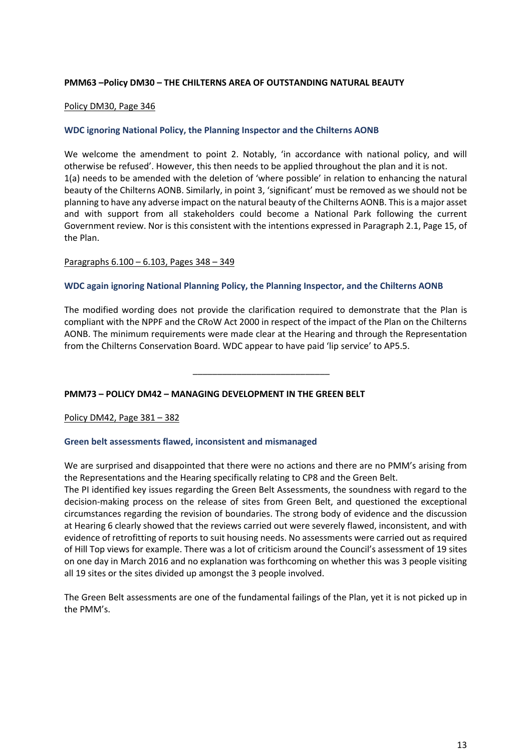## **PMM63 –Policy DM30 – THE CHILTERNS AREA OF OUTSTANDING NATURAL BEAUTY**

### Policy DM30, Page 346

### **WDC ignoring National Policy, the Planning Inspector and the Chilterns AONB**

We welcome the amendment to point 2. Notably, 'in accordance with national policy, and will otherwise be refused'. However, this then needs to be applied throughout the plan and it is not. 1(a) needs to be amended with the deletion of 'where possible' in relation to enhancing the natural beauty of the Chilterns AONB. Similarly, in point 3, 'significant' must be removed as we should not be planning to have any adverse impact on the natural beauty of the Chilterns AONB. This is a major asset and with support from all stakeholders could become a National Park following the current Government review. Nor is this consistent with the intentions expressed in Paragraph 2.1, Page 15, of the Plan.

#### Paragraphs 6.100 – 6.103, Pages 348 – 349

#### **WDC again ignoring National Planning Policy, the Planning Inspector, and the Chilterns AONB**

The modified wording does not provide the clarification required to demonstrate that the Plan is compliant with the NPPF and the CRoW Act 2000 in respect of the impact of the Plan on the Chilterns AONB. The minimum requirements were made clear at the Hearing and through the Representation from the Chilterns Conservation Board. WDC appear to have paid 'lip service' to AP5.5.

\_\_\_\_\_\_\_\_\_\_\_\_\_\_\_\_\_\_\_\_\_\_\_\_\_\_\_\_

## **PMM73 – POLICY DM42 – MANAGING DEVELOPMENT IN THE GREEN BELT**

#### Policy DM42, Page 381 – 382

## **Green belt assessments flawed, inconsistent and mismanaged**

We are surprised and disappointed that there were no actions and there are no PMM's arising from the Representations and the Hearing specifically relating to CP8 and the Green Belt.

The PI identified key issues regarding the Green Belt Assessments, the soundness with regard to the decision-making process on the release of sites from Green Belt, and questioned the exceptional circumstances regarding the revision of boundaries. The strong body of evidence and the discussion at Hearing 6 clearly showed that the reviews carried out were severely flawed, inconsistent, and with evidence of retrofitting of reports to suit housing needs. No assessments were carried out as required of Hill Top views for example. There was a lot of criticism around the Council's assessment of 19 sites on one day in March 2016 and no explanation was forthcoming on whether this was 3 people visiting all 19 sites or the sites divided up amongst the 3 people involved.

The Green Belt assessments are one of the fundamental failings of the Plan, yet it is not picked up in the PMM's.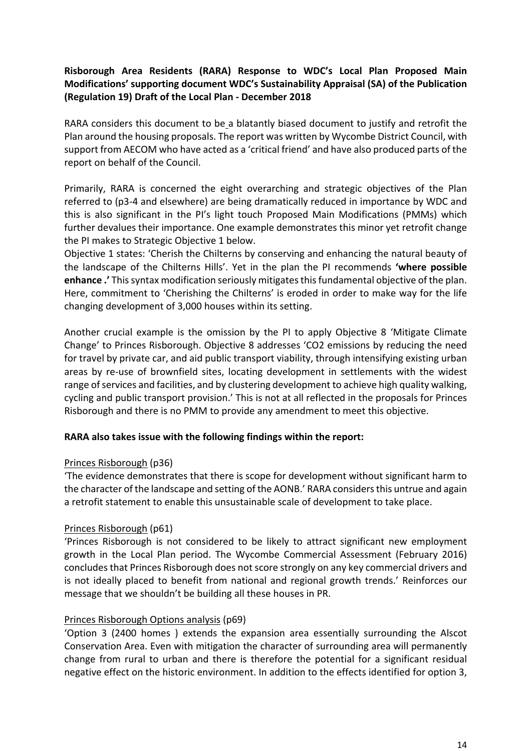# **Risborough Area Residents (RARA) Response to WDC's Local Plan Proposed Main Modifications' supporting document WDC's Sustainability Appraisal (SA) of the Publication (Regulation 19) Draft of the Local Plan - December 2018**

RARA considers this document to be a blatantly biased document to justify and retrofit the Plan around the housing proposals. The report was written by Wycombe District Council, with support from AECOM who have acted as a 'critical friend' and have also produced parts of the report on behalf of the Council.

Primarily, RARA is concerned the eight overarching and strategic objectives of the Plan referred to (p3-4 and elsewhere) are being dramatically reduced in importance by WDC and this is also significant in the PI's light touch Proposed Main Modifications (PMMs) which further devalues their importance. One example demonstrates this minor yet retrofit change the PI makes to Strategic Objective 1 below.

Objective 1 states: 'Cherish the Chilterns by conserving and enhancing the natural beauty of the landscape of the Chilterns Hills'. Yet in the plan the PI recommends **'where possible enhance .'** Thissyntax modification seriously mitigates this fundamental objective of the plan. Here, commitment to 'Cherishing the Chilterns' is eroded in order to make way for the life changing development of 3,000 houses within its setting.

Another crucial example is the omission by the PI to apply Objective 8 'Mitigate Climate Change' to Princes Risborough. Objective 8 addresses 'CO2 emissions by reducing the need for travel by private car, and aid public transport viability, through intensifying existing urban areas by re-use of brownfield sites, locating development in settlements with the widest range of services and facilities, and by clustering development to achieve high quality walking, cycling and public transport provision.' This is not at all reflected in the proposals for Princes Risborough and there is no PMM to provide any amendment to meet this objective.

# **RARA also takes issue with the following findings within the report:**

# Princes Risborough (p36)

'The evidence demonstrates that there is scope for development without significant harm to the character of the landscape and setting of the AONB.' RARA considers this untrue and again a retrofit statement to enable this unsustainable scale of development to take place.

# Princes Risborough (p61)

'Princes Risborough is not considered to be likely to attract significant new employment growth in the Local Plan period. The Wycombe Commercial Assessment (February 2016) concludes that Princes Risborough does not score strongly on any key commercial drivers and is not ideally placed to benefit from national and regional growth trends.' Reinforces our message that we shouldn't be building all these houses in PR.

# Princes Risborough Options analysis (p69)

'Option 3 (2400 homes ) extends the expansion area essentially surrounding the Alscot Conservation Area. Even with mitigation the character of surrounding area will permanently change from rural to urban and there is therefore the potential for a significant residual negative effect on the historic environment. In addition to the effects identified for option 3,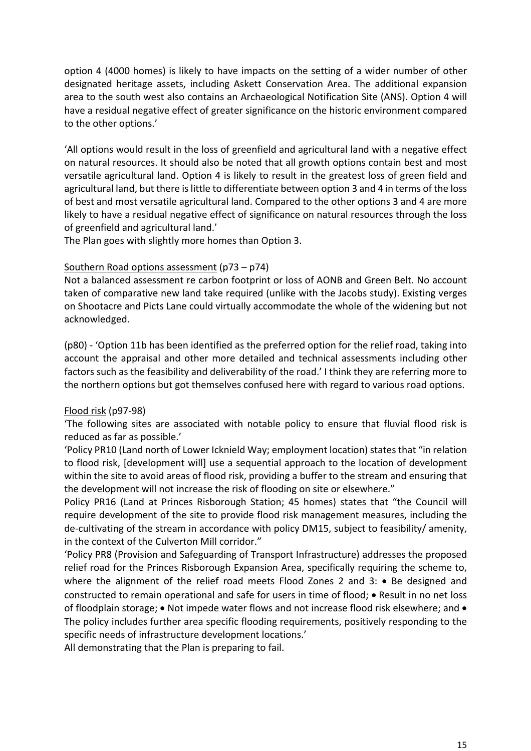option 4 (4000 homes) is likely to have impacts on the setting of a wider number of other designated heritage assets, including Askett Conservation Area. The additional expansion area to the south west also contains an Archaeological Notification Site (ANS). Option 4 will have a residual negative effect of greater significance on the historic environment compared to the other options.'

'All options would result in the loss of greenfield and agricultural land with a negative effect on natural resources. It should also be noted that all growth options contain best and most versatile agricultural land. Option 4 is likely to result in the greatest loss of green field and agricultural land, but there is little to differentiate between option 3 and 4 in terms of the loss of best and most versatile agricultural land. Compared to the other options 3 and 4 are more likely to have a residual negative effect of significance on natural resources through the loss of greenfield and agricultural land.'

The Plan goes with slightly more homes than Option 3.

# Southern Road options assessment (p73 – p74)

Not a balanced assessment re carbon footprint or loss of AONB and Green Belt. No account taken of comparative new land take required (unlike with the Jacobs study). Existing verges on Shootacre and Picts Lane could virtually accommodate the whole of the widening but not acknowledged.

(p80) - 'Option 11b has been identified as the preferred option for the relief road, taking into account the appraisal and other more detailed and technical assessments including other factors such as the feasibility and deliverability of the road.' I think they are referring more to the northern options but got themselves confused here with regard to various road options.

# Flood risk (p97-98)

'The following sites are associated with notable policy to ensure that fluvial flood risk is reduced as far as possible.'

'Policy PR10 (Land north of Lower Icknield Way; employment location) states that "in relation to flood risk, [development will] use a sequential approach to the location of development within the site to avoid areas of flood risk, providing a buffer to the stream and ensuring that the development will not increase the risk of flooding on site or elsewhere."

Policy PR16 (Land at Princes Risborough Station; 45 homes) states that "the Council will require development of the site to provide flood risk management measures, including the de-cultivating of the stream in accordance with policy DM15, subject to feasibility/ amenity, in the context of the Culverton Mill corridor."

'Policy PR8 (Provision and Safeguarding of Transport Infrastructure) addresses the proposed relief road for the Princes Risborough Expansion Area, specifically requiring the scheme to, where the alignment of the relief road meets Flood Zones 2 and 3: • Be designed and constructed to remain operational and safe for users in time of flood; • Result in no net loss of floodplain storage; • Not impede water flows and not increase flood risk elsewhere; and • The policy includes further area specific flooding requirements, positively responding to the specific needs of infrastructure development locations.'

All demonstrating that the Plan is preparing to fail.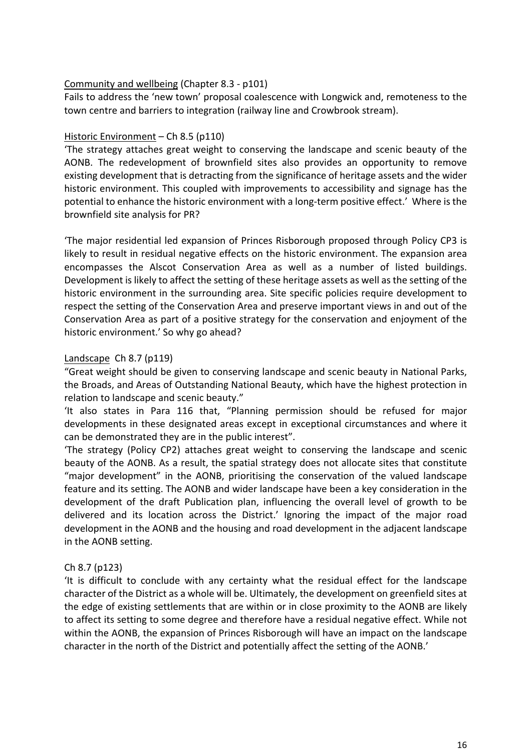# Community and wellbeing (Chapter 8.3 - p101)

Fails to address the 'new town' proposal coalescence with Longwick and, remoteness to the town centre and barriers to integration (railway line and Crowbrook stream).

# Historic Environment – Ch 8.5 (p110)

'The strategy attaches great weight to conserving the landscape and scenic beauty of the AONB. The redevelopment of brownfield sites also provides an opportunity to remove existing development that is detracting from the significance of heritage assets and the wider historic environment. This coupled with improvements to accessibility and signage has the potential to enhance the historic environment with a long-term positive effect.' Where is the brownfield site analysis for PR?

'The major residential led expansion of Princes Risborough proposed through Policy CP3 is likely to result in residual negative effects on the historic environment. The expansion area encompasses the Alscot Conservation Area as well as a number of listed buildings. Development is likely to affect the setting of these heritage assets as well as the setting of the historic environment in the surrounding area. Site specific policies require development to respect the setting of the Conservation Area and preserve important views in and out of the Conservation Area as part of a positive strategy for the conservation and enjoyment of the historic environment.' So why go ahead?

# Landscape Ch 8.7 (p119)

"Great weight should be given to conserving landscape and scenic beauty in National Parks, the Broads, and Areas of Outstanding National Beauty, which have the highest protection in relation to landscape and scenic beauty."

'It also states in Para 116 that, "Planning permission should be refused for major developments in these designated areas except in exceptional circumstances and where it can be demonstrated they are in the public interest".

'The strategy (Policy CP2) attaches great weight to conserving the landscape and scenic beauty of the AONB. As a result, the spatial strategy does not allocate sites that constitute "major development" in the AONB, prioritising the conservation of the valued landscape feature and its setting. The AONB and wider landscape have been a key consideration in the development of the draft Publication plan, influencing the overall level of growth to be delivered and its location across the District.' Ignoring the impact of the major road development in the AONB and the housing and road development in the adjacent landscape in the AONB setting.

# Ch 8.7 (p123)

'It is difficult to conclude with any certainty what the residual effect for the landscape character of the District as a whole will be. Ultimately, the development on greenfield sites at the edge of existing settlements that are within or in close proximity to the AONB are likely to affect its setting to some degree and therefore have a residual negative effect. While not within the AONB, the expansion of Princes Risborough will have an impact on the landscape character in the north of the District and potentially affect the setting of the AONB.'